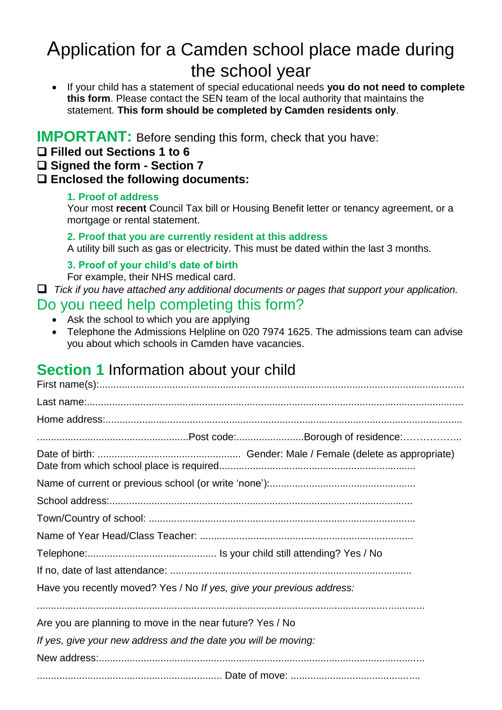# Application for a Camden school place made during the school year

 If your child has a statement of special educational needs **you do not need to complete this form**. Please contact the SEN team of the local authority that maintains the statement. **This form should be completed by Camden residents only**.

### **IMPORTANT:** Before sending this form, check that you have:

- **Filled out Sections 1 to 6**
- **Signed the form - Section 7**

#### **Enclosed the following documents:**

#### **1. Proof of address**

Your most **recent** Council Tax bill or Housing Benefit letter or tenancy agreement, or a mortgage or rental statement.

#### **2. Proof that you are currently resident at this address**

A utility bill such as gas or electricity. This must be dated within the last 3 months.

#### **3. Proof of your child's date of birth**

For example, their NHS medical card.

*Tick if you have attached any additional documents or pages that support your application.*

### Do you need help completing this form?

- Ask the school to which you are applying
- Telephone the Admissions Helpline on 020 7974 1625. The admissions team can advise you about which schools in Camden have vacancies.

## **Section 1** Information about your child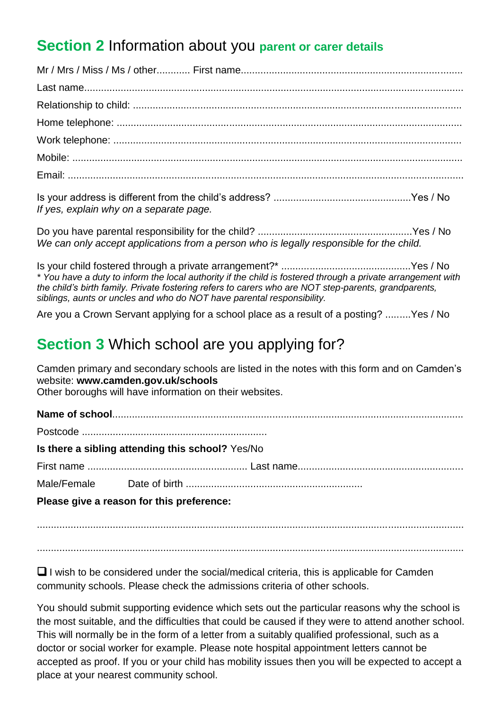## **Section 2** Information about you **parent or carer details**

Is your address is different from the child's address? .................................................Yes / No *If yes, explain why on a separate page.*

Do you have parental responsibility for the child? .......................................................Yes / No *We can only accept applications from a person who is legally responsible for the child.*

Is your child fostered through a private arrangement?\* ..............................................Yes / No *\* You have a duty to inform the local authority if the child is fostered through a private arrangement with the child's birth family. Private fostering refers to carers who are NOT step-parents, grandparents, siblings, aunts or uncles and who do NOT have parental responsibility.*

Are you a Crown Servant applying for a school place as a result of a posting? .........Yes / No

### **Section 3** Which school are you applying for?

Camden primary and secondary schools are listed in the notes with this form and on Camden's website: **www.camden.gov.uk/schools** 

Other boroughs will have information on their websites.

**Name of school**............................................................................................................................. Postcode ..................................................................

**Is there a sibling attending this school?** Yes/No

First name ......................................................... Last name...........................................................

Male/Female Date of birth ...............................................................

**Please give a reason for this preference:**

........................................................................................................................................................

........................................................................................................................................................

 $\Box$  I wish to be considered under the social/medical criteria, this is applicable for Camden community schools. Please check the admissions criteria of other schools.

You should submit supporting evidence which sets out the particular reasons why the school is the most suitable, and the difficulties that could be caused if they were to attend another school. This will normally be in the form of a letter from a suitably qualified professional, such as a doctor or social worker for example. Please note hospital appointment letters cannot be accepted as proof. If you or your child has mobility issues then you will be expected to accept a place at your nearest community school.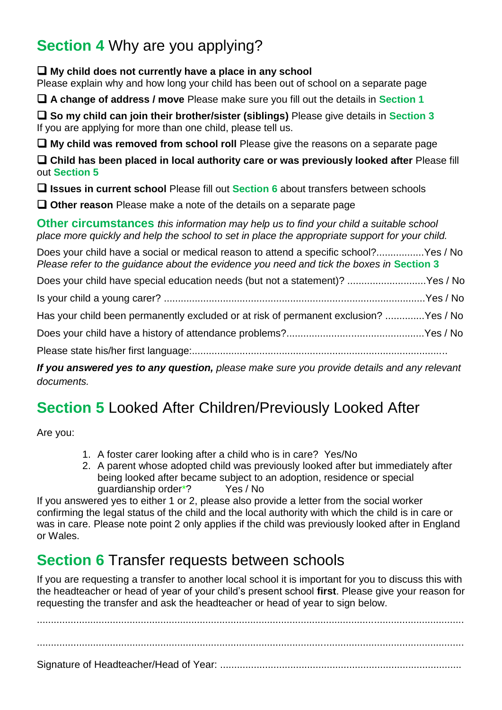# **Section 4** Why are you applying?

**My child does not currently have a place in any school**

Please explain why and how long your child has been out of school on a separate page

**A change of address / move** Please make sure you fill out the details in **Section 1**

**So my child can join their brother/sister (siblings)** Please give details in **Section 3** If you are applying for more than one child, please tell us.

**My child was removed from school roll** Please give the reasons on a separate page

**Child has been placed in local authority care or was previously looked after** Please fill out **Section 5**

**Issues in current school** Please fill out **Section 6** about transfers between schools

**Other reason** Please make a note of the details on a separate page

**Other circumstances** *this information may help us to find your child a suitable school place more quickly and help the school to set in place the appropriate support for your child.*

Does your child have a social or medical reason to attend a specific school?.................Yes / No *Please refer to the quidance about the evidence you need and tick the boxes in Section 3* 

Does your child have special education needs (but not a statement)? ............................Yes / No

Is your child a young carer? .............................................................................................Yes / No

Has your child been permanently excluded or at risk of permanent exclusion? ..............Yes / No

Does your child have a history of attendance problems?.................................................Yes / No

Please state his/her first language:...........................................................................................

*If you answered yes to any question, please make sure you provide details and any relevant documents.*

# **Section 5** Looked After Children/Previously Looked After

Are you:

- 1. A foster carer looking after a child who is in care? Yes/No
- 2. A parent whose adopted child was previously looked after but immediately after being looked after became subject to an adoption, residence or special guardianship order\*? Yes / No

If you answered yes to either 1 or 2, please also provide a letter from the social worker confirming the legal status of the child and the local authority with which the child is in care or was in care. Please note point 2 only applies if the child was previously looked after in England or Wales.

# **Section 6 Transfer requests between schools**

If you are requesting a transfer to another local school it is important for you to discuss this with the headteacher or head of year of your child's present school **first**. Please give your reason for requesting the transfer and ask the headteacher or head of year to sign below.

........................................................................................................................................................ ........................................................................................................................................................ Signature of Headteacher/Head of Year: ......................................................................................